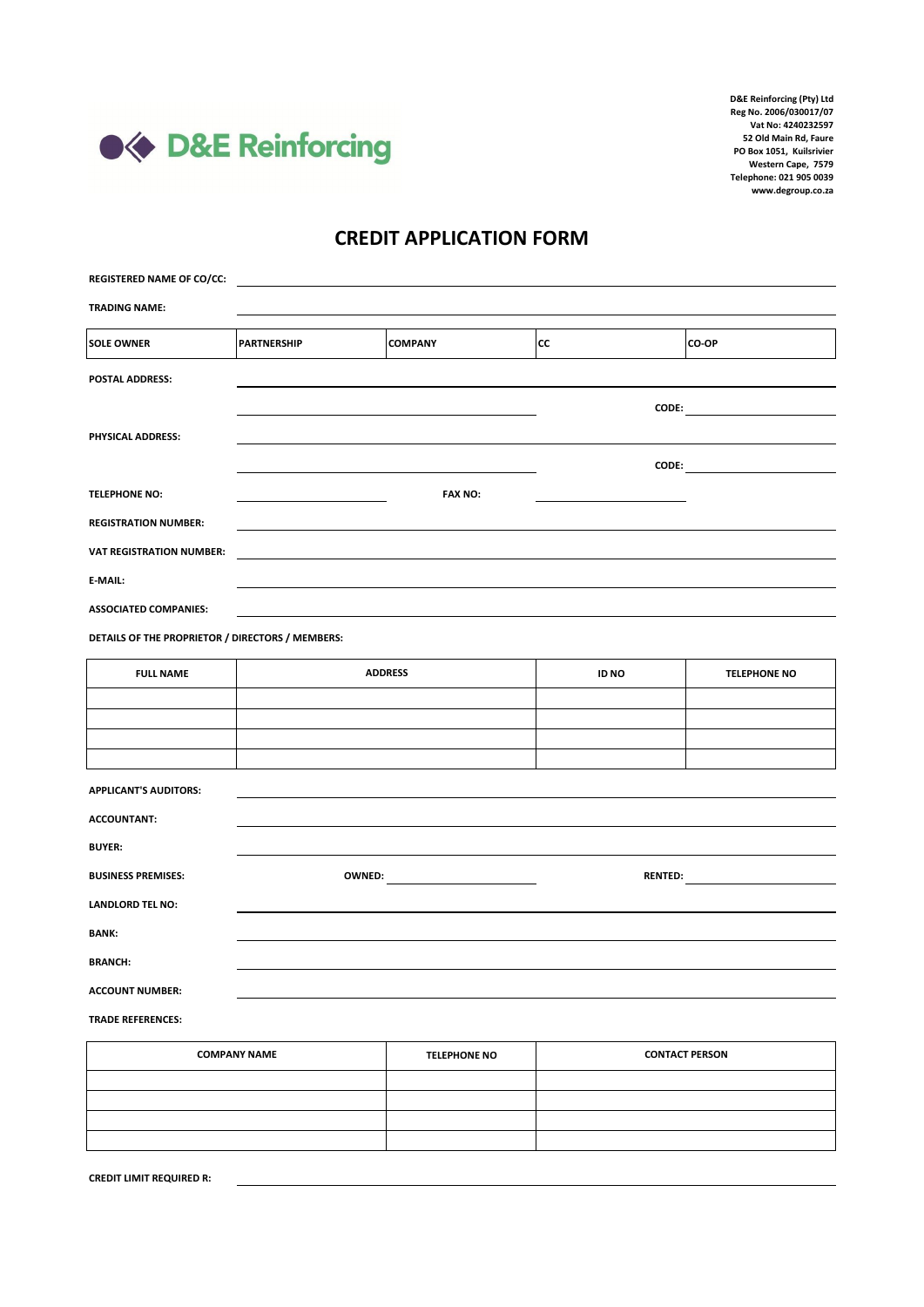

## **CREDIT APPLICATION FORM**

| <b>REGISTERED NAME OF CO/CC:</b>                 |                                                                                                                                                                                                                                |                     |              |                             |
|--------------------------------------------------|--------------------------------------------------------------------------------------------------------------------------------------------------------------------------------------------------------------------------------|---------------------|--------------|-----------------------------|
| <b>TRADING NAME:</b>                             |                                                                                                                                                                                                                                |                     |              |                             |
| <b>SOLE OWNER</b>                                | <b>PARTNERSHIP</b>                                                                                                                                                                                                             | <b>COMPANY</b>      | <b>CC</b>    | CO-OP                       |
| <b>POSTAL ADDRESS:</b>                           |                                                                                                                                                                                                                                |                     |              |                             |
|                                                  |                                                                                                                                                                                                                                |                     |              |                             |
| PHYSICAL ADDRESS:                                |                                                                                                                                                                                                                                |                     |              |                             |
|                                                  |                                                                                                                                                                                                                                |                     |              |                             |
| <b>TELEPHONE NO:</b>                             |                                                                                                                                                                                                                                | <b>FAX NO:</b>      |              |                             |
| <b>REGISTRATION NUMBER:</b>                      |                                                                                                                                                                                                                                |                     |              |                             |
| VAT REGISTRATION NUMBER:                         |                                                                                                                                                                                                                                |                     |              |                             |
| E-MAIL:                                          |                                                                                                                                                                                                                                |                     |              |                             |
| <b>ASSOCIATED COMPANIES:</b>                     |                                                                                                                                                                                                                                |                     |              |                             |
| DETAILS OF THE PROPRIETOR / DIRECTORS / MEMBERS: |                                                                                                                                                                                                                                |                     |              |                             |
| <b>FULL NAME</b>                                 | <b>ADDRESS</b>                                                                                                                                                                                                                 |                     | <b>ID NO</b> | <b>TELEPHONE NO</b>         |
|                                                  |                                                                                                                                                                                                                                |                     |              |                             |
|                                                  |                                                                                                                                                                                                                                |                     |              |                             |
|                                                  |                                                                                                                                                                                                                                |                     |              |                             |
| <b>APPLICANT'S AUDITORS:</b>                     |                                                                                                                                                                                                                                |                     |              |                             |
| <b>ACCOUNTANT:</b>                               |                                                                                                                                                                                                                                |                     |              |                             |
| <b>BUYER:</b>                                    |                                                                                                                                                                                                                                |                     |              |                             |
| <b>BUSINESS PREMISES:</b>                        | OWNED: the contract of the contract of the contract of the contract of the contract of the contract of the contract of the contract of the contract of the contract of the contract of the contract of the contract of the con |                     |              | <b>RENTED: Example 2020</b> |
| <b>LANDLORD TEL NO:</b>                          |                                                                                                                                                                                                                                |                     |              |                             |
| <b>BANK:</b>                                     |                                                                                                                                                                                                                                |                     |              |                             |
| <b>BRANCH:</b>                                   |                                                                                                                                                                                                                                |                     |              |                             |
| <b>ACCOUNT NUMBER:</b>                           |                                                                                                                                                                                                                                |                     |              |                             |
| <b>TRADE REFERENCES:</b>                         |                                                                                                                                                                                                                                |                     |              |                             |
|                                                  | <b>COMPANY NAME</b>                                                                                                                                                                                                            | <b>TELEPHONE NO</b> |              | <b>CONTACT PERSON</b>       |
|                                                  |                                                                                                                                                                                                                                |                     |              |                             |

| <b>COMPANY NAME</b> | <b>TELEPHONE NO</b> | <b>CONTACT PERSON</b> |
|---------------------|---------------------|-----------------------|
|                     |                     |                       |
|                     |                     |                       |
|                     |                     |                       |
|                     |                     |                       |
|                     |                     |                       |

**CREDIT LIMIT REQUIRED R:**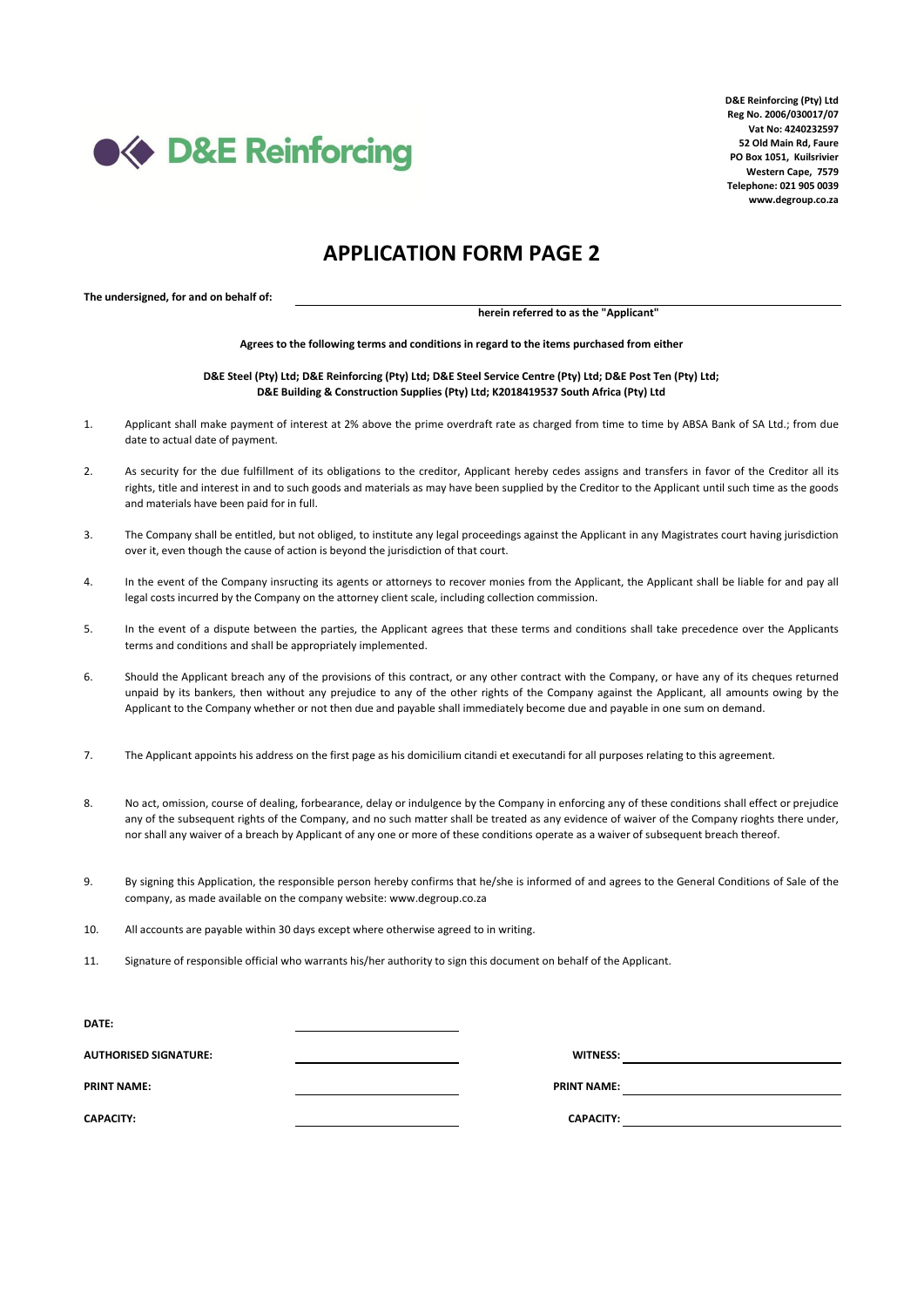

## **APPLICATION FORM PAGE 2**

**The undersigned, for and on behalf of:**

**herein referred to as the "Applicant"**

**Agrees to the following terms and conditions in regard to the items purchased from either**

**D&E Steel (Pty) Ltd; D&E Reinforcing (Pty) Ltd; D&E Steel Service Centre (Pty) Ltd; D&E Post Ten (Pty) Ltd; D&E Building & Construction Supplies (Pty) Ltd; K2018419537 South Africa (Pty) Ltd**

- 1. Applicant shall make payment of interest at 2% above the prime overdraft rate as charged from time to time by ABSA Bank of SA Ltd.; from due date to actual date of payment.
- $2.5$ As security for the due fulfillment of its obligations to the creditor, Applicant hereby cedes assigns and transfers in favor of the Creditor all its rights, title and interest in and to such goods and materials as may have been supplied by the Creditor to the Applicant until such time as the goods and materials have been paid for in full.
- 3. The Company shall be entitled, but not obliged, to institute any legal proceedings against the Applicant in any Magistrates court having jurisdiction over it, even though the cause of action is beyond the jurisdiction of that court.
- 4. In the event of the Company insructing its agents or attorneys to recover monies from the Applicant, the Applicant shall be liable for and pay all legal costs incurred by the Company on the attorney client scale, including collection commission.
- 5. In the event of a dispute between the parties, the Applicant agrees that these terms and conditions shall take precedence over the Applicants terms and conditions and shall be appropriately implemented.
- 6. Should the Applicant breach any of the provisions of this contract, or any other contract with the Company, or have any of its cheques returned unpaid by its bankers, then without any prejudice to any of the other rights of the Company against the Applicant, all amounts owing by the Applicant to the Company whether or not then due and payable shall immediately become due and payable in one sum on demand.
- 7. The Applicant appoints his address on the first page as his domicilium citandi et executandi for all purposes relating to this agreement.
- 8. No act, omission, course of dealing, forbearance, delay or indulgence by the Company in enforcing any of these conditions shall effect or prejudice any of the subsequent rights of the Company, and no such matter shall be treated as any evidence of waiver of the Company rioghts there under, nor shall any waiver of a breach by Applicant of any one or more of these conditions operate as a waiver of subsequent breach thereof.
- 9. By signing this Application, the responsible person hereby confirms that he/she is informed of and agrees to the General Conditions of Sale of the company, as made available on the company website: www.degroup.co.za
- 10. All accounts are payable within 30 days except where otherwise agreed to in writing.
- 11. Signature of responsible official who warrants his/her authority to sign this document on behalf of the Applicant.

| <b>DATE:</b>                 |                    |  |
|------------------------------|--------------------|--|
| <b>AUTHORISED SIGNATURE:</b> | <b>WITNESS:</b>    |  |
| <b>PRINT NAME:</b>           | <b>PRINT NAME:</b> |  |
| <b>CAPACITY:</b>             | <b>CAPACITY:</b>   |  |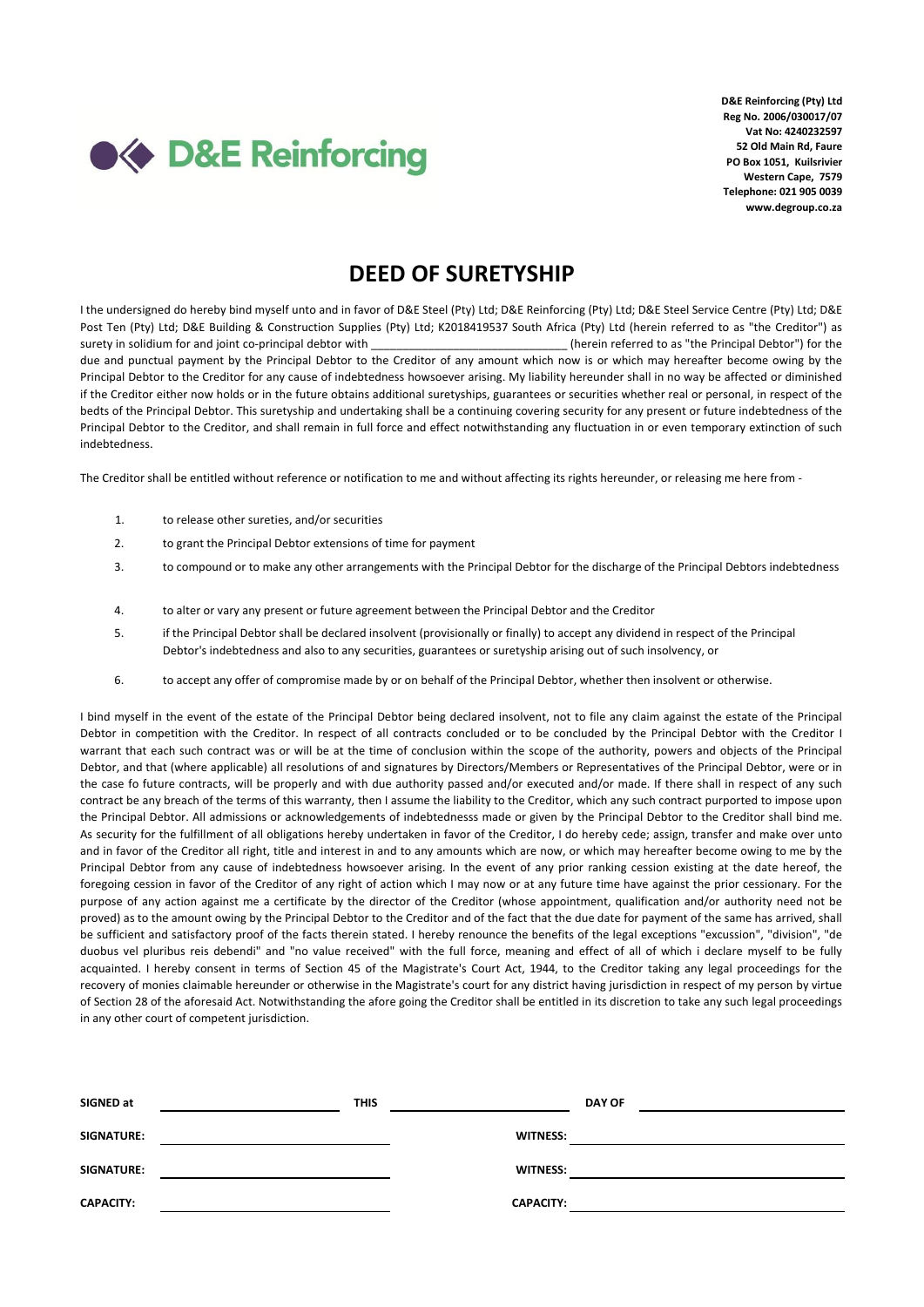

## **DEED OF SURETYSHIP**

I the undersigned do hereby bind myself unto and in favor of D&E Steel (Pty) Ltd; D&E Reinforcing (Pty) Ltd; D&E Steel Service Centre (Pty) Ltd; D&E Post Ten (Pty) Ltd; D&E Building & Construction Supplies (Pty) Ltd; K2018419537 South Africa (Pty) Ltd (herein referred to as "the Creditor") as surety in solidium for and joint co-principal debtor with \_\_\_\_\_\_\_\_\_\_\_\_\_\_\_\_\_\_\_\_\_\_\_\_\_\_\_\_\_\_\_ (herein referred to as "the Principal Debtor") for the due and punctual payment by the Principal Debtor to the Creditor of any amount which now is or which may hereafter become owing by the Principal Debtor to the Creditor for any cause of indebtedness howsoever arising. My liability hereunder shall in no way be affected or diminished if the Creditor either now holds or in the future obtains additional suretyships, guarantees or securities whether real or personal, in respect of the bedts of the Principal Debtor. This suretyship and undertaking shall be a continuing covering security for any present or future indebtedness of the Principal Debtor to the Creditor, and shall remain in full force and effect notwithstanding any fluctuation in or even temporary extinction of such indebtedness.

The Creditor shall be entitled without reference or notification to me and without affecting its rights hereunder, or releasing me here from -

- 1. to release other sureties, and/or securities
- 2. to grant the Principal Debtor extensions of time for payment
- 3. to compound or to make any other arrangements with the Principal Debtor for the discharge of the Principal Debtors indebtedness
- 4. to alter or vary any present or future agreement between the Principal Debtor and the Creditor
- 5. if the Principal Debtor shall be declared insolvent (provisionally or finally) to accept any dividend in respect of the Principal Debtor's indebtedness and also to any securities, guarantees or suretyship arising out of such insolvency, or
- 6. to accept any offer of compromise made by or on behalf of the Principal Debtor, whether then insolvent or otherwise.

I bind myself in the event of the estate of the Principal Debtor being declared insolvent, not to file any claim against the estate of the Principal Debtor in competition with the Creditor. In respect of all contracts concluded or to be concluded by the Principal Debtor with the Creditor I warrant that each such contract was or will be at the time of conclusion within the scope of the authority, powers and objects of the Principal Debtor, and that (where applicable) all resolutions of and signatures by Directors/Members or Representatives of the Principal Debtor, were or in the case fo future contracts, will be properly and with due authority passed and/or executed and/or made. If there shall in respect of any such contract be any breach of the terms of this warranty, then I assume the liability to the Creditor, which any such contract purported to impose upon the Principal Debtor. All admissions or acknowledgements of indebtednesss made or given by the Principal Debtor to the Creditor shall bind me. As security for the fulfillment of all obligations hereby undertaken in favor of the Creditor, I do hereby cede; assign, transfer and make over unto and in favor of the Creditor all right, title and interest in and to any amounts which are now, or which may hereafter become owing to me by the Principal Debtor from any cause of indebtedness howsoever arising. In the event of any prior ranking cession existing at the date hereof, the foregoing cession in favor of the Creditor of any right of action which I may now or at any future time have against the prior cessionary. For the purpose of any action against me a certificate by the director of the Creditor (whose appointment, qualification and/or authority need not be proved) as to the amount owing by the Principal Debtor to the Creditor and of the fact that the due date for payment of the same has arrived, shall be sufficient and satisfactory proof of the facts therein stated. I hereby renounce the benefits of the legal exceptions "excussion", "division", "de duobus vel pluribus reis debendi" and "no value received" with the full force, meaning and effect of all of which i declare myself to be fully acquainted. I hereby consent in terms of Section 45 of the Magistrate's Court Act, 1944, to the Creditor taking any legal proceedings for the recovery of monies claimable hereunder or otherwise in the Magistrate's court for any district having jurisdiction in respect of my person by virtue of Section 28 of the aforesaid Act. Notwithstanding the afore going the Creditor shall be entitled in its discretion to take any such legal proceedings in any other court of competent jurisdiction.

| SIGNED at        | <b>THIS</b> |                  | <b>DAY OF</b> |
|------------------|-------------|------------------|---------------|
| SIGNATURE:       |             | <b>WITNESS:</b>  |               |
| SIGNATURE:       |             | <b>WITNESS:</b>  |               |
| <b>CAPACITY:</b> |             | <b>CAPACITY:</b> |               |